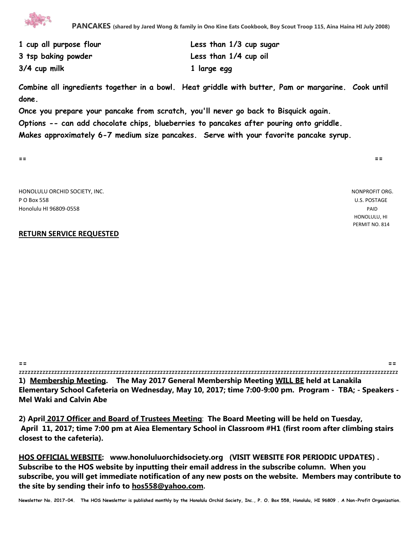

| 1 cup all purpose flour | Less than 1/3 cup sugar |
|-------------------------|-------------------------|
| 3 tsp baking powder     | Less than 1/4 cup oil   |
| 3/4 cup milk            | 1 large egg             |

**Combine all ingredients together in a bowl. Heat griddle with butter, Pam or margarine. Cook until done.** 

**Once you prepare your pancake from scratch, you'll never go back to Bisquick again. Options -- can add chocolate chips, blueberries to pancakes after pouring onto griddle.**

**Makes approximately 6-7 medium size pancakes. Serve with your favorite pancake syrup.**

**== ==**

HONOLULU ORCHID SOCIETY, INC. NONPROFIT ORG. P O Box 558 U.S. POSTAGE Honolulu HI 96809-0558 PAID

## **RETURN SERVICE REQUESTED**

 HONOLULU, HI PERMIT NO. 814

**== ==** zzzzzzzzzzzzzzzzzzzzzzzzzzzzzzzzzzzzzzzzzzzzzzzzzzzzzzzzzzzzzzzzzzzzzzzzzzzzzzzzzzzzzzzzzzzzzzzzzzzzzzzzzzzzzzzzzzzzzzzzzzzzzzzzz **1) Membership Meeting. The May 2017 General Membership Meeting WILL BE held at Lanakila Elementary School Cafeteria on Wednesday, May 10, 2017; time 7:00-9:00 pm. Program - TBA; - Speakers - Mel Waki and Calvin Abe**

**2) April 2017 Officer and Board of Trustees Meeting**: **The Board Meeting will be held on Tuesday, April 11, 2017; time 7:00 pm at Aiea Elementary School in Classroom #H1 (first room after climbing stairs closest to the cafeteria).** 

**HOS OFFICIAL WEBSITE: www.honoluluorchidsociety.org (VISIT WEBSITE FOR PERIODIC UPDATES) . Subscribe to the HOS website by inputting their email address in the subscribe column. When you subscribe, you will get immediate notification of any new posts on the website. Members may contribute to the site by sending their info to hos558@yahoo.com.** 

**Newsletter No. 2017-04. The HOS Newsletter is published monthly by the Honolulu Orchid Society, Inc., P. O. Box 558, Honolulu, HI 96809 . A Non-Profit Organization.**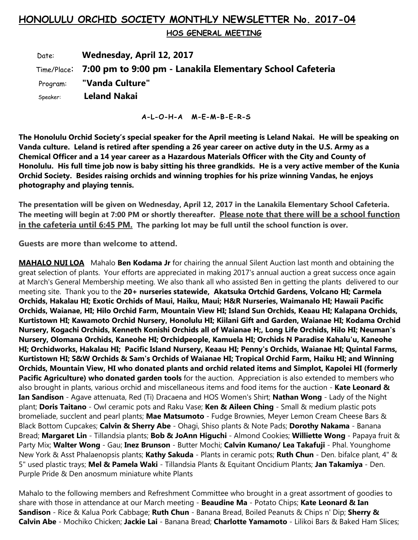## **HONOLULU ORCHID SOCIETY MONTHLY NEWSLETTER No. 2017-04**

 **HOS GENERAL MEETING** 

 Date: **Wednesday, April 12, 2017** Time/Place: **7:00 pm to 9:00 pm - Lanakila Elementary School Cafeteria** Program: **"Vanda Culture"** Speaker: **Leland Nakai**

**A-L-O-H-A M-E-M-B-E-R-S**

**The Honolulu Orchid Society's special speaker for the April meeting is Leland Nakai. He will be speaking on Vanda culture. Leland is retired after spending a 26 year career on active duty in the U.S. Army as a Chemical Officer and a 14 year career as a Hazardous Materials Officer with the City and County of Honolulu. His full time job now is baby sitting his three grandkids. He is a very active member of the Kunia Orchid Society. Besides raising orchids and winning trophies for his prize winning Vandas, he enjoys photography and playing tennis.**

**The presentation will be given on Wednesday, April 12, 2017 in the Lanakila Elementary School Cafeteria. The meeting will begin at 7:00 PM or shortly thereafter. Please note that there will be a school function in the cafeteria until 6:45 PM. The parking lot may be full until the school function is over.**

**Guests are more than welcome to attend.**

**MAHALO NUI LOA** Mahalo **Ben Kodama Jr** for chairing the annual Silent Auction last month and obtaining the great selection of plants. Your efforts are appreciated in making 2017's annual auction a great success once again at March's General Membership meeting. We also thank all who assisted Ben in getting the plants delivered to our meeting site. Thank you to the **20+ nurseries statewide, Akatsuka Ortchid Gardens, Volcano HI; Carmela Orchids, Hakalau HI; Exotic Orchids of Maui, Haiku, Maui; H&R Nurseries, Waimanalo HI; Hawaii Pacific Orchids, Waianae, HI; Hilo Orchid Farm, Mountain View HI; Island Sun Orchids, Keaau HI; Kalapana Orchids, Kurtistown HI; Kawamoto Orchid Nursery, Honolulu HI; Kiilani Gift and Garden, Waianae HI; Kodama Orchid Nursery, Kogachi Orchids, Kenneth Konishi Orchids all of Waianae H;, Long Life Orchids, Hilo HI; Neuman's Nursery, Olomana Orchids, Kaneohe HI; Orchidpeople, Kamuela HI; Orchids N Paradise Kahalu'u, Kaneohe HI; Orchidworks, Hakalau HI; Pacific Island Nursery, Keaau HI; Penny's Orchids, Waianae HI; Quintal Farms, Kurtistown HI; S&W Orchids & Sam's Orchids of Waianae HI; Tropical Orchid Farm, Haiku HI; and Winning Orchids, Mountain View, HI who donated plants and orchid related items and Simplot, Kapolei HI (formerly Pacific Agriculture) who donated garden tools** for the auction. Appreciation is also extended to members who also brought in plants, various orchid and miscellaneous items and food items for the auction - **Kate Leonard & Ian Sandison** - Agave attenuata, Red (Ti) Dracaena and HOS Women's Shirt; **Nathan Wong** - Lady of the Night plant; **Doris Taitano** - Owl ceramic pots and Raku Vase; **Ken & Aileen Ching** - Small & medium plastic pots bromeliade, succlent and pearl plants; **Mae Matsumoto** - Fudge Brownies, Meyer Lemon Cream Cheese Bars & Black Bottom Cupcakes; **Calvin & Sherry Abe** - Ohagi, Shiso plants & Note Pads; **Dorothy Nakama** - Banana Bread; **Margaret Lin** - Tillandsia plants; **Bob & JoAnn Higuchi** - Almond Cookies; **Williette Wong** - Papaya fruit & Party Mix; **Walter Wong** - Gau; **Inez Brunson** - Butter Mochi; **Calvin Kumano/ Lea Takafuji** - Phal. Younghome New York & Asst Phalaenopsis plants; **Kathy Sakuda** - Plants in ceramic pots; **Ruth Chun** - Den. bifalce plant, 4" & 5" used plastic trays; **Mel & Pamela Waki** - Tillandsia Plants & Equitant Oncidium Plants; **Jan Takamiya** - Den. Purple Pride & Den anosmum miniature white Plants

Mahalo to the following members and Refreshment Committee who brought in a great assortment of goodies to share with those in attendance at our March meeting - **Beaudine Ma** - Potato Chips; **Kate Leonard & Ian Sandison** - Rice & Kalua Pork Cabbage; **Ruth Chun** - Banana Bread, Boiled Peanuts & Chips n' Dip; **Sherry & Calvin Abe** - Mochiko Chicken; **Jackie Lai** - Banana Bread; **Charlotte Yamamoto** - Lilikoi Bars & Baked Ham Slices;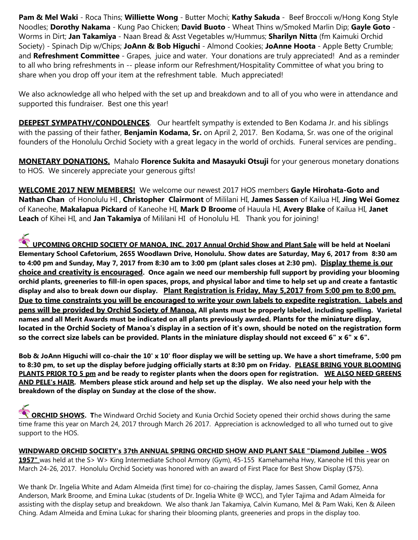**Pam & Mel Waki** - Roca Thins; **Williette Wong** - Butter Mochi; **Kathy Sakuda** - Beef Broccoli w/Hong Kong Style Noodles; **Dorothy Nakama** - Kung Pao Chicken; **David Buoto** - Wheat Thins w/Smoked Marlin Dip; **Gayle Goto** - Worms in Dirt; **Jan Takamiya** - Naan Bread & Asst Vegetables w/Hummus; **Sharilyn Nitta** (fm Kaimuki Orchid Society) - Spinach Dip w/Chips; **JoAnn & Bob Higuchi** - Almond Cookies; **JoAnne Hoota** - Apple Betty Crumble; and **Refreshment Committee** - Grapes, juice and water. Your donations are truly appreciated! And as a reminder to all who bring refreshments in -- please inform our Refreshment/Hospitality Committee of what you bring to share when you drop off your item at the refreshment table. Much appreciated!

We also acknowledge all who helped with the set up and breakdown and to all of you who were in attendance and supported this fundraiser. Best one this year!

**DEEPEST SYMPATHY/CONDOLENCES**. Our heartfelt sympathy is extended to Ben Kodama Jr. and his siblings with the passing of their father, **Benjamin Kodama, Sr.** on April 2, 2017. Ben Kodama, Sr. was one of the original founders of the Honolulu Orchid Society with a great legacy in the world of orchids. Funeral services are pending..

**MONETARY DONATIONS.** Mahalo **Florence Sukita and Masayuki Otsuji** for your generous monetary donations to HOS. We sincerely appreciate your generous gifts!

**WELCOME 2017 NEW MEMBERS!** We welcome our newest 2017 HOS members **Gayle Hirohata-Goto and Nathan Chan** of Honolulu HI , **Christopher Clairmont** of Mililani HI, **James Sassen** of Kailua HI, **Jing Wei Gomez** of Kaneohe, **Makalapua Pickard** of Kaneohe HI, **Mark D Broome** of Hauula HI, **Avery Blake** of Kailua HI, **Janet Leach** of Kihei HI, and **Jan Takamiya** of Mililani HI of Honolulu HI. Thank you for joining!

**UPCOMING ORCHID SOCIETY OF MANOA, INC. 2017 Annual Orchid Show and Plant Sale** will be held at Noelani **Change of Annual Orchid Show and Plant Sale** will be held at Noelani **Elementary School Cafetorium, 2655 Woodlawn Drive, Honolulu. Show dates are Saturday, May 6, 2017 from 8:30 am to 4:00 pm and Sunday, May 7, 2017 from 8:30 am to 3:00 pm (plant sales closes at 2:30 pm). Display theme is our choice and creativity is encouraged. Once again we need our membership full support by providing your blooming orchid plants, greeneries to fill-in open spaces, props, and physical labor and time to help set up and create a fantastic display and also to break down our display. Plant Registration is Friday, May 5,2017 from 5:00 pm to 8:00 pm. Due to time constraints you will be encouraged to write your own labels to expedite registration. Labels and pens will be provided by Orchid Society of Manoa. All plants must be properly labeled, including spelling. Varietal names and all Merit Awards must be indicated on all plants previously awrded. Plants for the miniature display, located in the Orchid Society of Manoa's display in a section of it's own, should be noted on the registration form so the correct size labels can be provided. Plants in the miniature display should not exceed 6" x 6" x 6".** 

**Bob & JoAnn Higuchi will co-chair the 10' x 10' floor display we will be setting up. We have a short timeframe, 5:00 pm to 8:30 pm, to set up the display before judging officially starts at 8:30 pm on Friday. PLEASE BRING YOUR BLOOMING PLANTS PRIOR TO 5 pm and be ready to register plants when the doors open for registration. WE ALSO NEED GREENS AND PELE's HAIR. Members please stick around and help set up the display. We also need your help with the breakdown of the display on Sunday at the close of the show.**

**ORCHID SHOWS.** The Windward Orchid Society and Kunia Orchid Society opened their orchid shows during the same time frame this year on March 24, 2017 through March 26 2017. Appreciation is acknowledged to all who turned out to give support to the HOS.

**WINDWARD ORCHID SOCIETY's 37th ANNUAL SPRING ORCHID SHOW AND PLANT SALE "Diamond Jubilee - WOS 1957"** was held at the S> W> King Intermediate School Armory (Gym), 45-155 Kamehameha Hwy, Kaneohe HI this year on March 24-26, 2017. Honolulu Orchid Society was honored with an award of First Place for Best Show Display (\$75).

We thank Dr. Ingelia White and Adam Almeida (first time) for co-chairing the display, James Sassen, Camil Gomez, Anna Anderson, Mark Broome, and Emina Lukac (students of Dr. Ingelia White @ WCC), and Tyler Tajima and Adam Almeida for assisting with the display setup and breakdown. We also thank Jan Takamiya, Calvin Kumano, Mel & Pam Waki, Ken & Aileen Ching. Adam Almeida and Emina Lukac for sharing their blooming plants, greeneries and props in the display too.